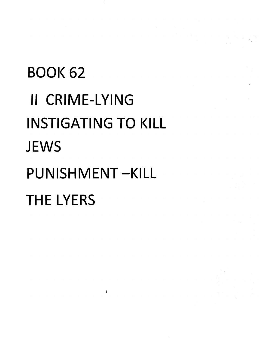# BOOK 62 **II** CRIME-LYING INSTIGATING TO KILL **JEWS** PUNISHMENT-KILL THE LYERS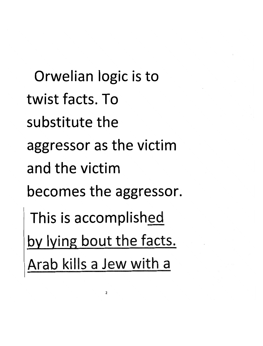Orwelian logic is to **twist facts. To su bstitute the aggressor as the victim and the victim**  becomes the aggressor. This is accomplished by lying bout the facts. Arab kills a Jew with a

 $\overline{\mathbf{c}}$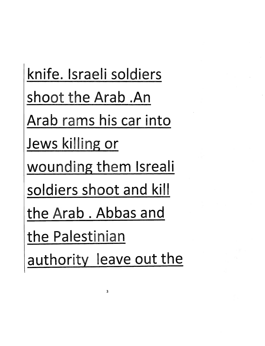knife. Israeli soldiers shoot the Arab .An Arab rams his car into Jews killing or wounding them Isreali soldiers shoot and kill the Arab. Abbas and the Palestinian authority leave out the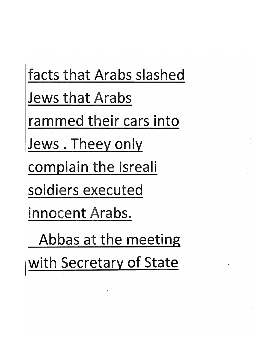facts that Arabs slashed Jews that Arabs rammed their cars into Jews. Theey only complain the Isreali soldiers executed innocent Arabs. Abbas at the meeting with Secretary of State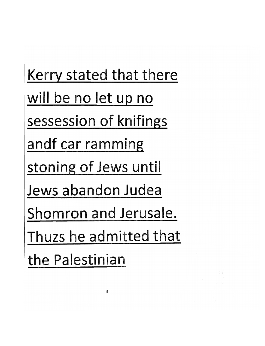Kerry stated that there will be no let up no sessession of knifings andf car ramming stoning of Jews until Jews abandon Judea Shomron and Jerusale. Thuzs he admitted that the Palestinian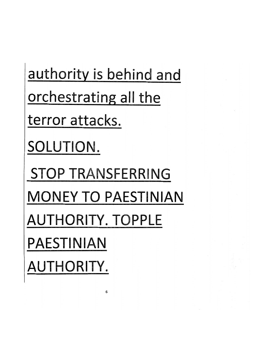authority is behind and orchestrating all the terror attacks. SOLUTION. STOP TRANSFERRING MONEY TO PAESTINIAN AUTHORITY. TOPPLE PAESTINIAN AUTHORITY.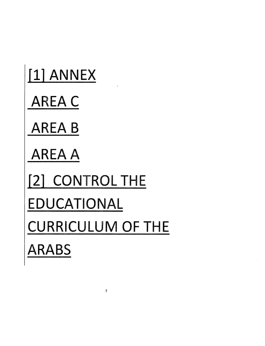| [1] ANNEX                |
|--------------------------|
| <b>AREA C</b>            |
| <b>AREA B</b>            |
| <b>AREA A</b>            |
| 121 CONTROL THE          |
| EDUCATIONAL              |
| <b>CURRICULUM OF THE</b> |
| <b>ARABS</b>             |

7

 $\mathcal{L}^{\text{max}}_{\text{max}}$  and  $\mathcal{L}^{\text{max}}_{\text{max}}$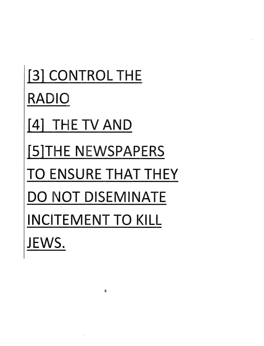# [3] CONTROL THE RADIO **[4]** THE TV AND [S]THE NEWSPAPERS TO ENSURE THAT THEY **DO** NOT DISEMINATE INCITEMENT TO **KILL JEWS.**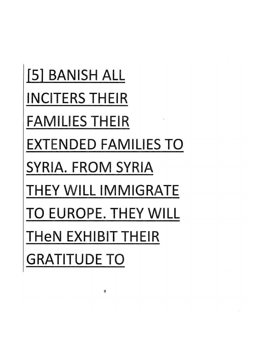[5] BANISH ALL INCITERS THEIR FAMILIES THEIR EXTENDED FAMILIES TO SYRIA. FROM SYRIA THEY WILL IMMIGRATE TO EUROPE. THEY WILL THeN EXHIBIT THEIR GRATITUDE TO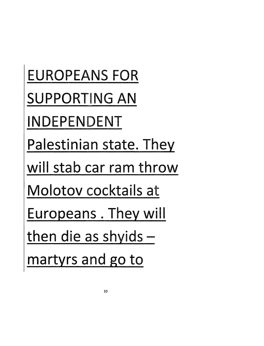EUROPEANS FOR SUPPORTING AN INDEPENDENT Palestinian state. They will stab car ram throw Molotov cocktails at Europeans. They will then die as shyids  $$ martyrs and go to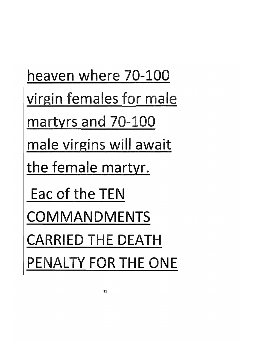heaven where 70-100 virgin females for male martyrs and 70-100 male virgins will await the female martyr. Eac of the TEN COMMANDMENTS CARRIED THE DEATH PENALTY FOR THE ONE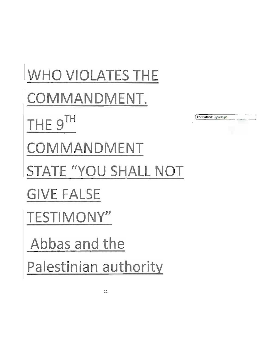**WHO VIOLATES THE** COMMANDMENT. THE 9TH Formatted: Superscript COMMANDMENT STATE "YOU SHALL NOT **GIVE FALSE TESTIMONY"** Abbas and the Palestinian authority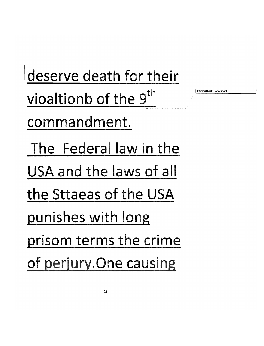deserve death for their vioaltionb of the 9<sup>th</sup> commandment. The Federal law in the USA and the laws of all the Sttaeas of the USA punishes with long prisom terms the crime of perjury. One causing

13

Formatted: Superscript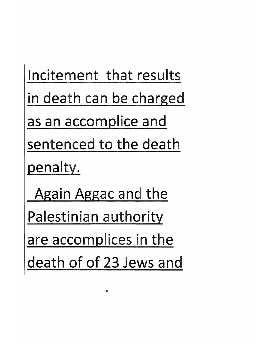Incitement that results in death can be charged as an accomplice and sentenced to the death penalty.

Again Aggac and the Palestinian authority are accomplices in the death of of 23 Jews and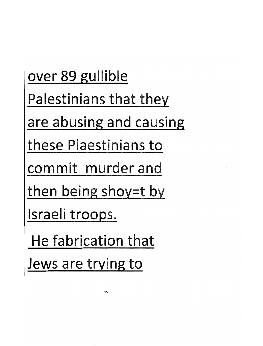over 89 gullible Palestinians that they are abusing and causing these Plaestinians to commit murder and then being shoy=t by Israeli troops. **He** fabrication that Jews are trying to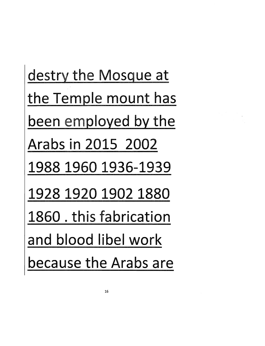destry the Mosque at the Temple mount has been employed by the Arabs in 2015 2002 1988 1960 1936-1939 1928 1920 1902 1880 1860 . this fabrication and blood libel work because the Arabs are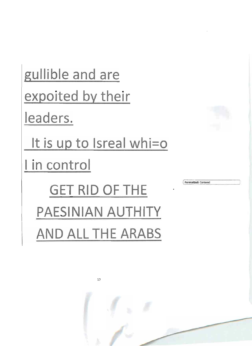



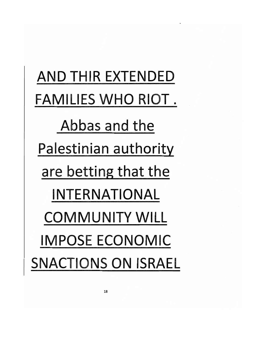AND THIR EXTENDED FAMILIES WHO RIOT. Abbas and the Palestinian authority are betting that the INTERNATIONAL COMMUNITY WILL IMPOSE ECONOMIC SNACTIONS ON ISRAEL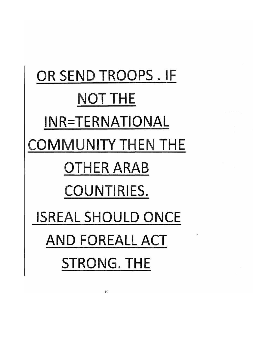## OR SEND TROOPS. IF NOT THE INR=TERNATIONAL COMMUNITY THEN THE OTHER ARAB COUNTIRIES. ISREAL SHOULD ONCE AND FOREALL ACT STRONG. THE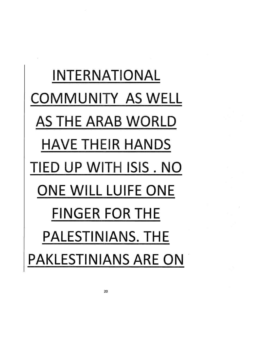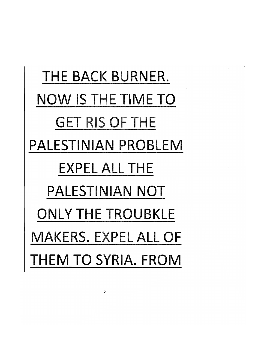THE BACK BURNER. NOW IS THE TIME TO GET RIS OF THE PALESTINIAN PROBLEM EXPEL ALL THE PALESTINIAN NOT ONLY THE TROUBKLE MAKERS. EXPEL ALL OF THEM TO SYRIA. FROM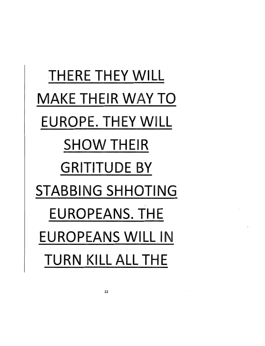### THERE THEY WILL MAKE THEIR WAY TO EUROPE. THEY WILL SHOW THEIR **GRITITUDE BY** STABBING SHHOTING EUROPEANS. THE EUROPEANS WILL IN TURN KILL ALL THE